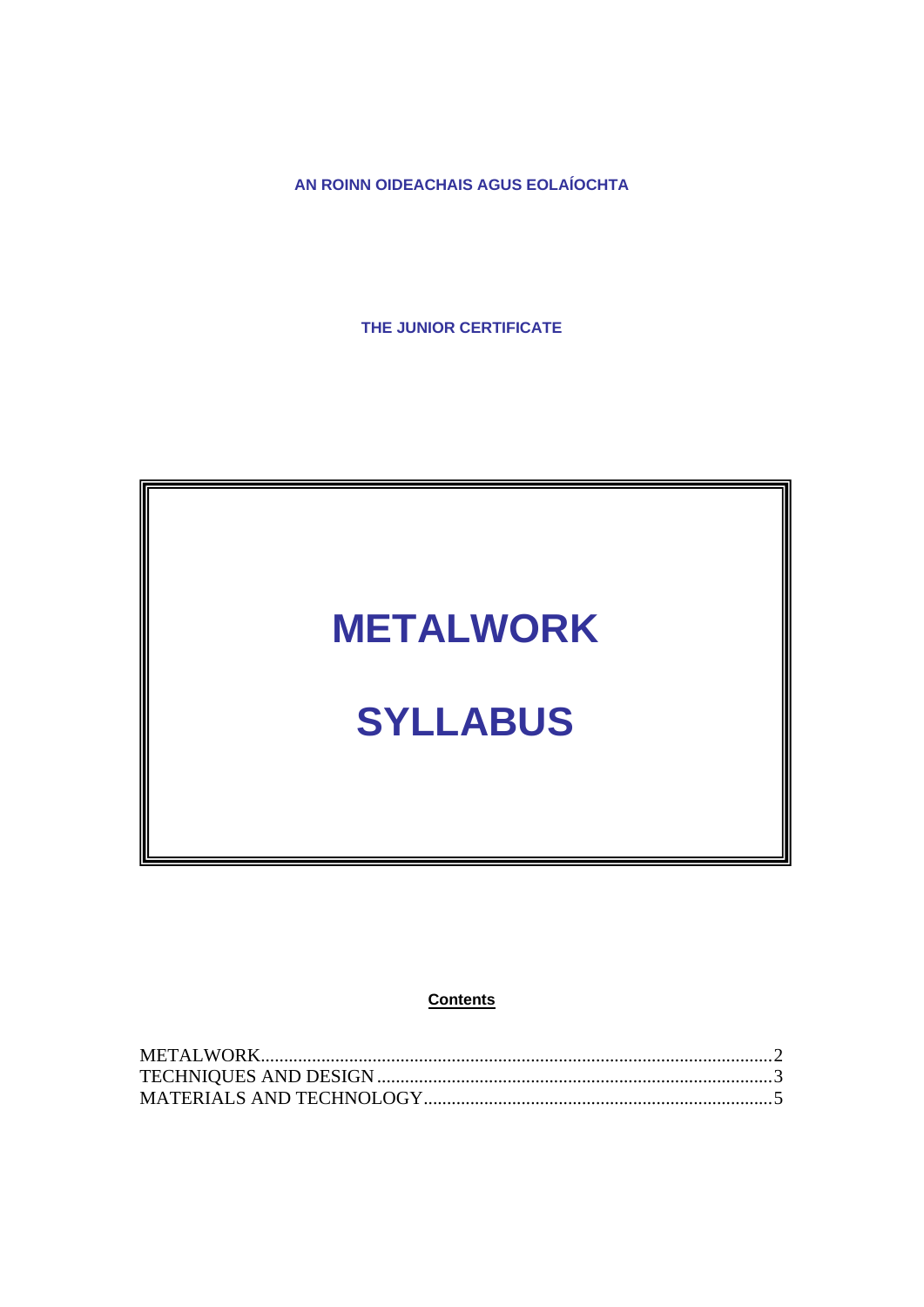**AN ROINN OIDEACHAIS AGUS EOLAÍOCHTA** 

**THE JUNIOR CERTIFICATE** 

## **METALWORK**

# **SYLLABUS**

**Contents**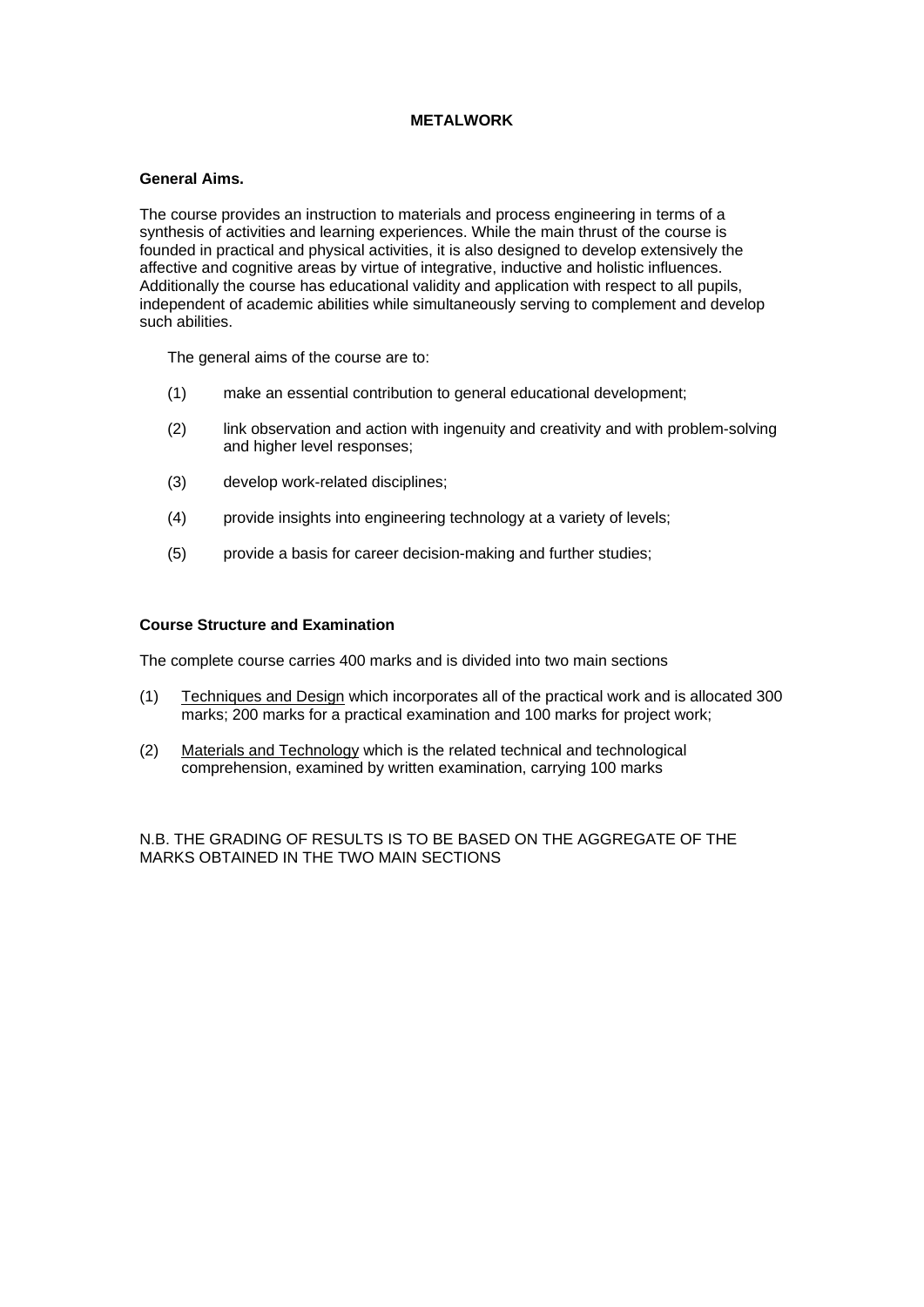### **METALWORK**

#### <span id="page-1-0"></span>**General Aims.**

The course provides an instruction to materials and process engineering in terms of a synthesis of activities and learning experiences. While the main thrust of the course is founded in practical and physical activities, it is also designed to develop extensively the affective and cognitive areas by virtue of integrative, inductive and holistic influences. Additionally the course has educational validity and application with respect to all pupils, independent of academic abilities while simultaneously serving to complement and develop such abilities.

The general aims of the course are to:

- (1) make an essential contribution to general educational development;
- (2) link observation and action with ingenuity and creativity and with problem-solving and higher level responses;
- (3) develop work-related disciplines;
- (4) provide insights into engineering technology at a variety of levels;
- (5) provide a basis for career decision-making and further studies;

## **Course Structure and Examination**

The complete course carries 400 marks and is divided into two main sections

- (1) Techniques and Design which incorporates all of the practical work and is allocated 300 marks; 200 marks for a practical examination and 100 marks for project work;
- (2) Materials and Technology which is the related technical and technological comprehension, examined by written examination, carrying 100 marks

N.B. THE GRADING OF RESULTS IS TO BE BASED ON THE AGGREGATE OF THE MARKS OBTAINED IN THE TWO MAIN SECTIONS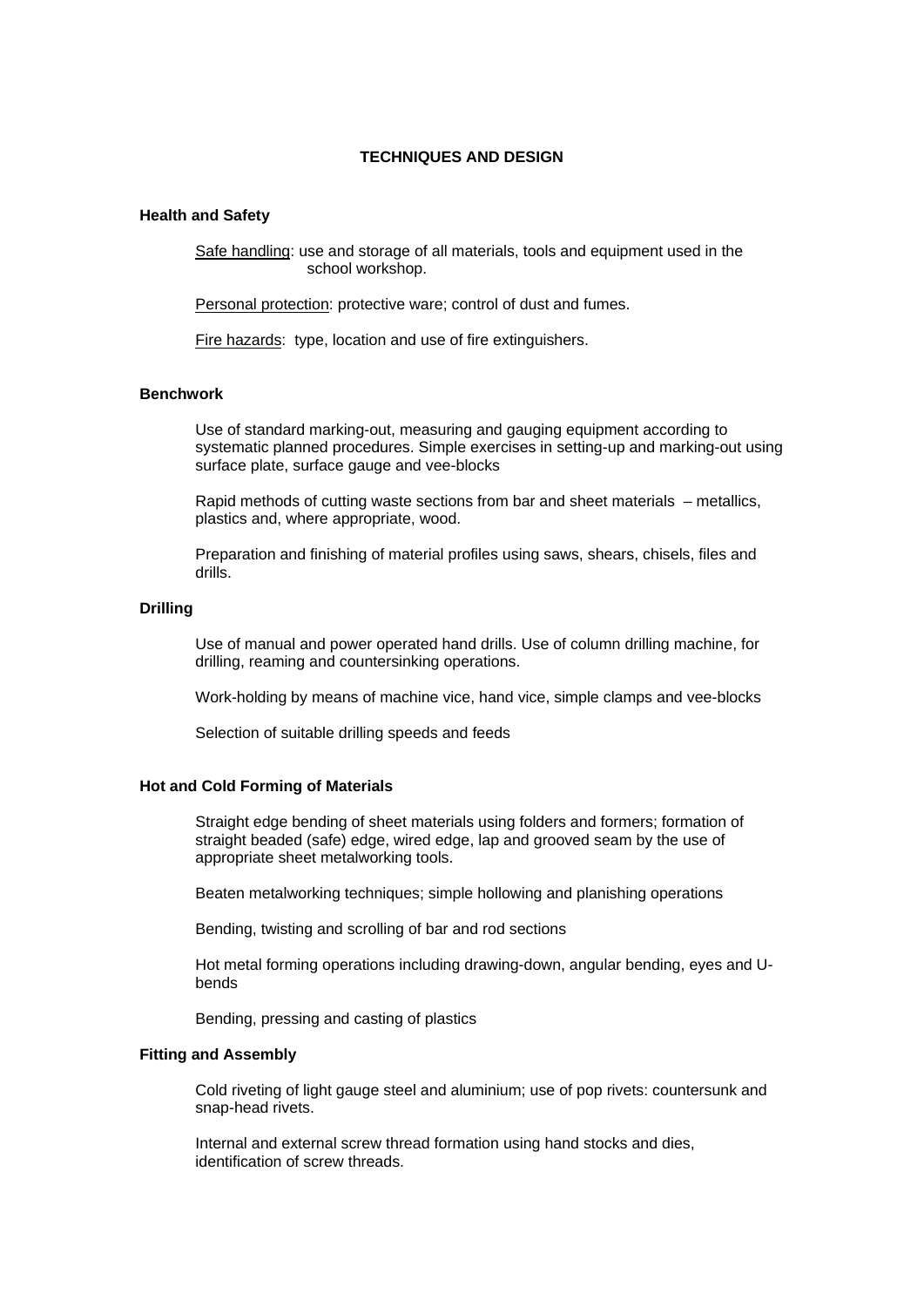#### **TECHNIQUES AND DESIGN**

#### <span id="page-2-0"></span>**Health and Safety**

Safe handling: use and storage of all materials, tools and equipment used in the school workshop.

Personal protection: protective ware; control of dust and fumes.

Fire hazards: type, location and use of fire extinguishers.

#### **Benchwork**

Use of standard marking-out, measuring and gauging equipment according to systematic planned procedures. Simple exercises in setting-up and marking-out using surface plate, surface gauge and vee-blocks

Rapid methods of cutting waste sections from bar and sheet materials – metallics, plastics and, where appropriate, wood.

Preparation and finishing of material profiles using saws, shears, chisels, files and drills.

#### **Drilling**

Use of manual and power operated hand drills. Use of column drilling machine, for drilling, reaming and countersinking operations.

Work-holding by means of machine vice, hand vice, simple clamps and vee-blocks

Selection of suitable drilling speeds and feeds

#### **Hot and Cold Forming of Materials**

Straight edge bending of sheet materials using folders and formers; formation of straight beaded (safe) edge, wired edge, lap and grooved seam by the use of appropriate sheet metalworking tools.

Beaten metalworking techniques; simple hollowing and planishing operations

Bending, twisting and scrolling of bar and rod sections

Hot metal forming operations including drawing-down, angular bending, eyes and Ubends

Bending, pressing and casting of plastics

#### **Fitting and Assembly**

Cold riveting of light gauge steel and aluminium; use of pop rivets: countersunk and snap-head rivets.

Internal and external screw thread formation using hand stocks and dies, identification of screw threads.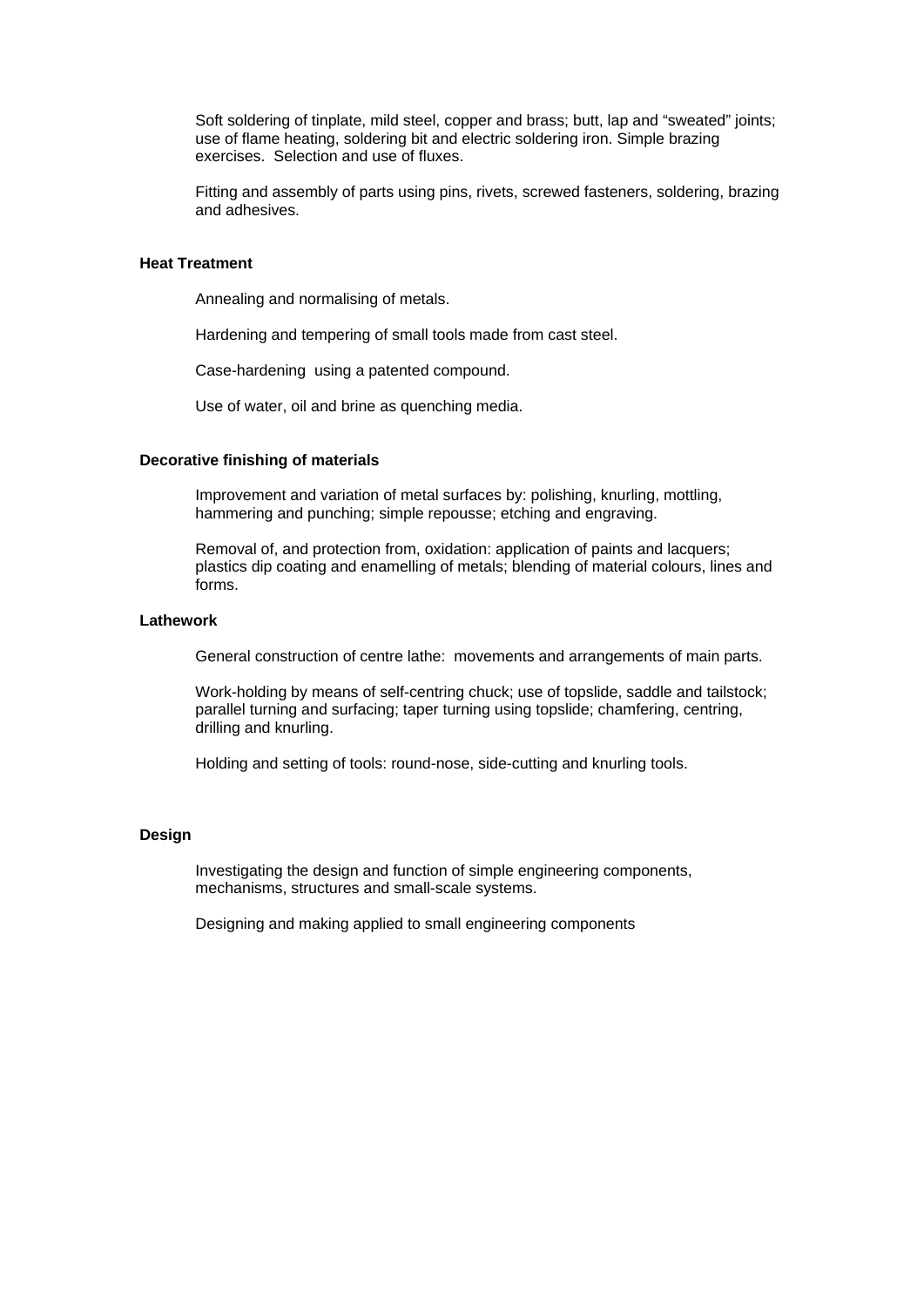Soft soldering of tinplate, mild steel, copper and brass; butt, lap and "sweated" joints; use of flame heating, soldering bit and electric soldering iron. Simple brazing exercises. Selection and use of fluxes.

Fitting and assembly of parts using pins, rivets, screwed fasteners, soldering, brazing and adhesives.

#### **Heat Treatment**

Annealing and normalising of metals.

Hardening and tempering of small tools made from cast steel.

Case-hardening using a patented compound.

Use of water, oil and brine as quenching media.

#### **Decorative finishing of materials**

Improvement and variation of metal surfaces by: polishing, knurling, mottling, hammering and punching; simple repousse; etching and engraving.

Removal of, and protection from, oxidation: application of paints and lacquers; plastics dip coating and enamelling of metals; blending of material colours, lines and forms.

## **Lathework**

General construction of centre lathe: movements and arrangements of main parts.

Work-holding by means of self-centring chuck; use of topslide, saddle and tailstock; parallel turning and surfacing; taper turning using topslide; chamfering, centring, drilling and knurling.

Holding and setting of tools: round-nose, side-cutting and knurling tools.

#### **Design**

Investigating the design and function of simple engineering components, mechanisms, structures and small-scale systems.

Designing and making applied to small engineering components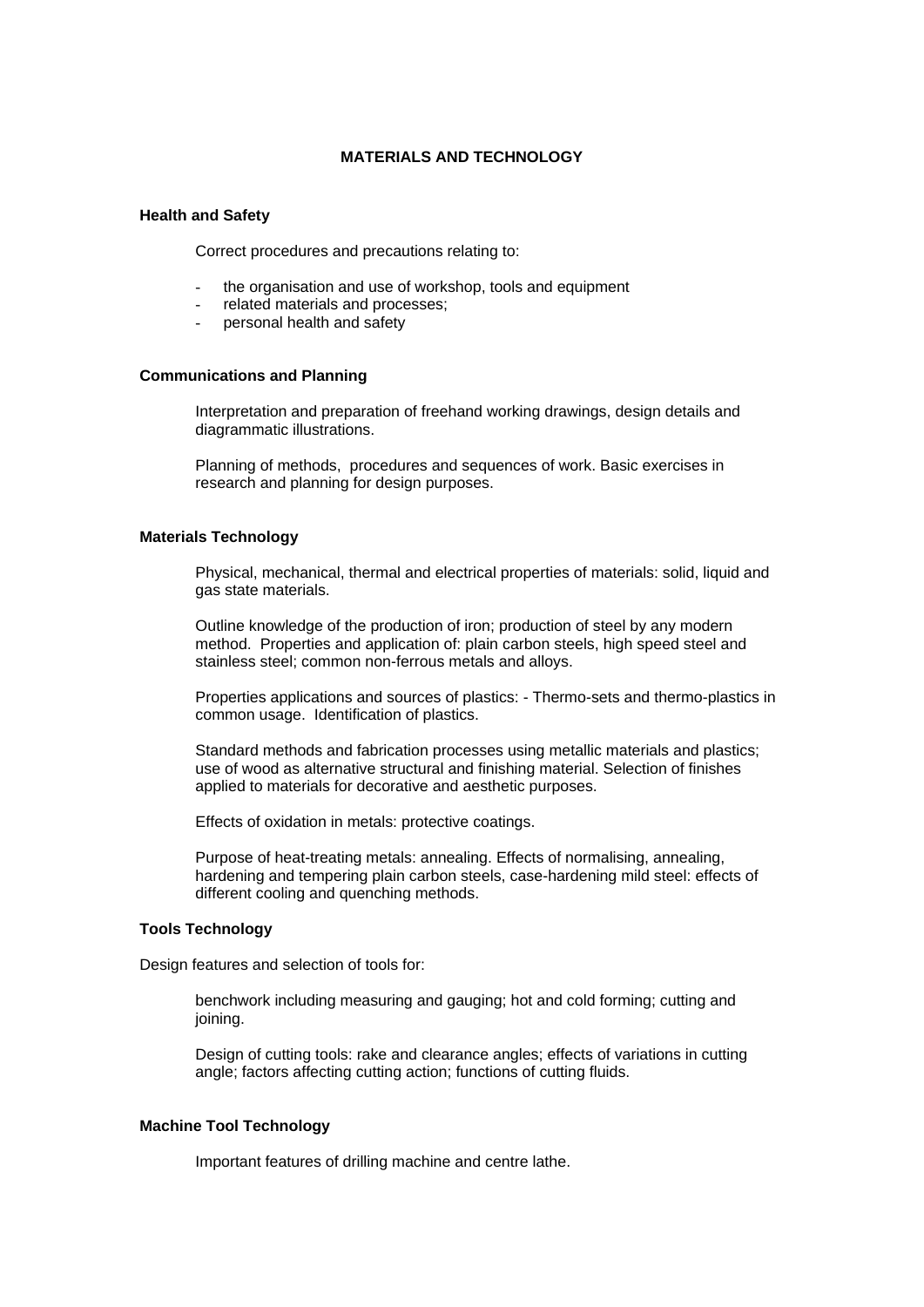#### **MATERIALS AND TECHNOLOGY**

#### <span id="page-4-0"></span>**Health and Safety**

Correct procedures and precautions relating to:

- the organisation and use of workshop, tools and equipment
- related materials and processes;
- personal health and safety

#### **Communications and Planning**

Interpretation and preparation of freehand working drawings, design details and diagrammatic illustrations.

Planning of methods, procedures and sequences of work. Basic exercises in research and planning for design purposes.

## **Materials Technology**

Physical, mechanical, thermal and electrical properties of materials: solid, liquid and gas state materials.

Outline knowledge of the production of iron; production of steel by any modern method. Properties and application of: plain carbon steels, high speed steel and stainless steel; common non-ferrous metals and alloys.

Properties applications and sources of plastics: - Thermo-sets and thermo-plastics in common usage. Identification of plastics.

Standard methods and fabrication processes using metallic materials and plastics; use of wood as alternative structural and finishing material. Selection of finishes applied to materials for decorative and aesthetic purposes.

Effects of oxidation in metals: protective coatings.

Purpose of heat-treating metals: annealing. Effects of normalising, annealing, hardening and tempering plain carbon steels, case-hardening mild steel: effects of different cooling and quenching methods.

#### **Tools Technology**

Design features and selection of tools for:

benchwork including measuring and gauging; hot and cold forming; cutting and joining.

Design of cutting tools: rake and clearance angles; effects of variations in cutting angle; factors affecting cutting action; functions of cutting fluids.

#### **Machine Tool Technology**

Important features of drilling machine and centre lathe.